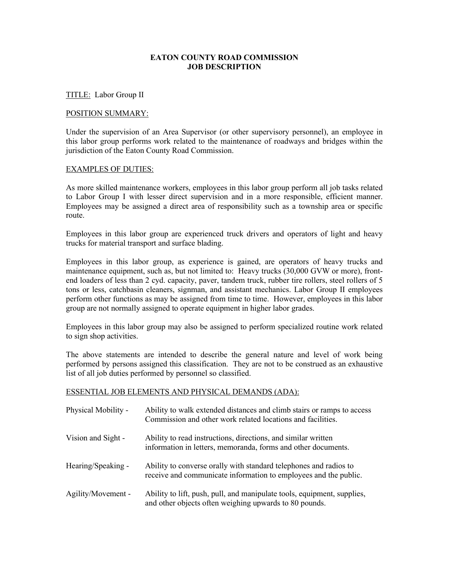# **EATON COUNTY ROAD COMMISSION JOB DESCRIPTION**

# TITLE: Labor Group II

#### POSITION SUMMARY:

Under the supervision of an Area Supervisor (or other supervisory personnel), an employee in this labor group performs work related to the maintenance of roadways and bridges within the jurisdiction of the Eaton County Road Commission.

#### EXAMPLES OF DUTIES:

As more skilled maintenance workers, employees in this labor group perform all job tasks related to Labor Group I with lesser direct supervision and in a more responsible, efficient manner. Employees may be assigned a direct area of responsibility such as a township area or specific route.

Employees in this labor group are experienced truck drivers and operators of light and heavy trucks for material transport and surface blading.

Employees in this labor group, as experience is gained, are operators of heavy trucks and maintenance equipment, such as, but not limited to: Heavy trucks (30,000 GVW or more), frontend loaders of less than 2 cyd. capacity, paver, tandem truck, rubber tire rollers, steel rollers of 5 tons or less, catchbasin cleaners, signman, and assistant mechanics. Labor Group II employees perform other functions as may be assigned from time to time. However, employees in this labor group are not normally assigned to operate equipment in higher labor grades.

Employees in this labor group may also be assigned to perform specialized routine work related to sign shop activities.

The above statements are intended to describe the general nature and level of work being performed by persons assigned this classification. They are not to be construed as an exhaustive list of all job duties performed by personnel so classified.

# ESSENTIAL JOB ELEMENTS AND PHYSICAL DEMANDS (ADA):

| Physical Mobility - | Ability to walk extended distances and climb stairs or ramps to access<br>Commission and other work related locations and facilities. |
|---------------------|---------------------------------------------------------------------------------------------------------------------------------------|
| Vision and Sight -  | Ability to read instructions, directions, and similar written<br>information in letters, memoranda, forms and other documents.        |
| Hearing/Speaking -  | Ability to converse orally with standard telephones and radios to<br>receive and communicate information to employees and the public. |
| Agility/Movement -  | Ability to lift, push, pull, and manipulate tools, equipment, supplies,<br>and other objects often weighing upwards to 80 pounds.     |